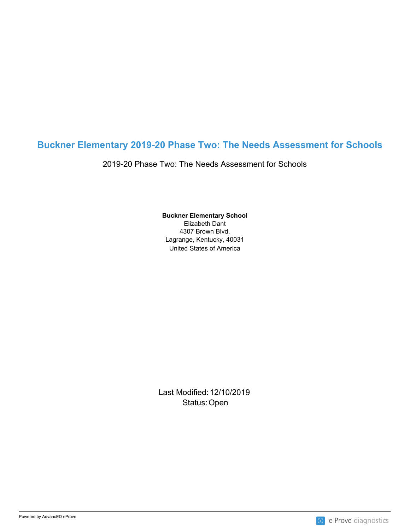## **Buckner Elementary 2019-20 Phase Two: The Needs Assessment for Schools**

2019-20 Phase Two: The Needs Assessment for Schools

United States of America **Buckner Elementary School** Elizabeth Dant 4307 Brown Blvd. Lagrange, Kentucky, 40031

Last Modified: 12/10/2019 Status: Open **Contract Contract Contract Contract Contract Contract Contract Contract Contract Contract Contract Contract Contract Contract Contract Contract Contract Contract Contract Contract Contract Contract Contract C** 

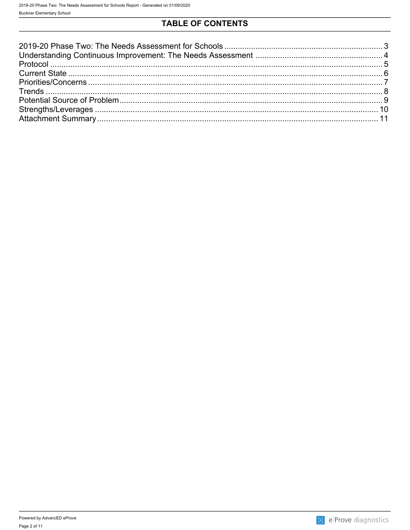# **TABLE OF CONTENTS**

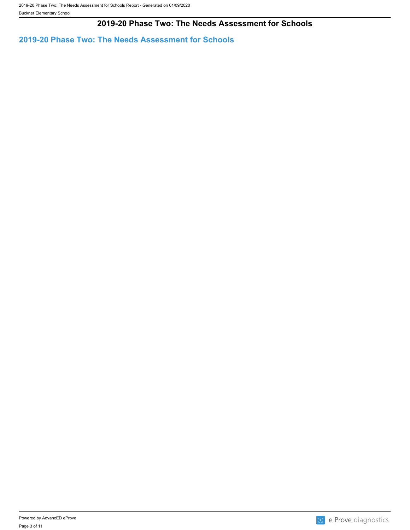## **2019-20 Phase Two: The Needs Assessment for Schools**

<span id="page-2-0"></span>**2019-20 Phase Two: The Needs Assessment for Schools**

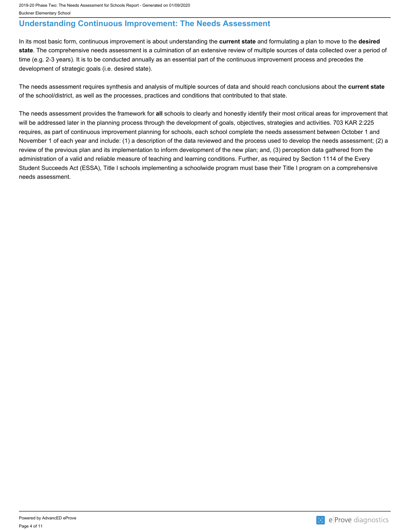## <span id="page-3-0"></span>**Understanding Continuous Improvement: The Needs Assessment**

In its most basic form, continuous improvement is about understanding the **current state** and formulating a plan to move to the **desired state**. The comprehensive needs assessment is a culmination of an extensive review of multiple sources of data collected over a period of time (e.g. 2-3 years). It is to be conducted annually as an essential part of the continuous improvement process and precedes the development of strategic goals (i.e. desired state).

The needs assessment requires synthesis and analysis of multiple sources of data and should reach conclusions about the **current state** of the school/district, as well as the processes, practices and conditions that contributed to that state.

The needs assessment provides the framework for **all** schools to clearly and honestly identify their most critical areas for improvement that will be addressed later in the planning process through the development of goals, objectives, strategies and activities. 703 KAR 2:225 requires, as part of continuous improvement planning for schools, each school complete the needs assessment between October 1 and November 1 of each year and include: (1) a description of the data reviewed and the process used to develop the needs assessment; (2) a review of the previous plan and its implementation to inform development of the new plan; and, (3) perception data gathered from the administration of a valid and reliable measure of teaching and learning conditions. Further, as required by Section 1114 of the Every Student Succeeds Act (ESSA), Title I schools implementing a schoolwide program must base their Title I program on a comprehensive needs assessment.

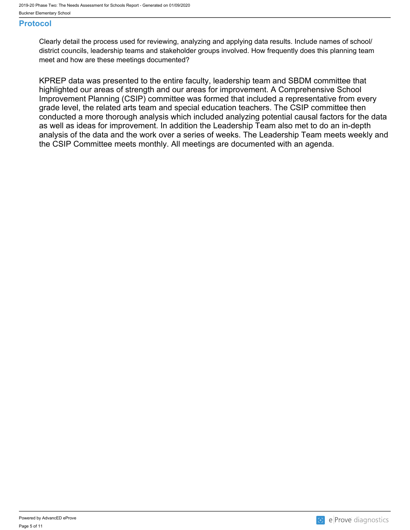### <span id="page-4-0"></span>**Protocol**

Clearly detail the process used for reviewing, analyzing and applying data results. Include names of school/ district councils, leadership teams and stakeholder groups involved. How frequently does this planning team meet and how are these meetings documented?

KPREP data was presented to the entire faculty, leadership team and SBDM committee that highlighted our areas of strength and our areas for improvement. A Comprehensive School Improvement Planning (CSIP) committee was formed that included a representative from every grade level, the related arts team and special education teachers. The CSIP committee then conducted a more thorough analysis which included analyzing potential causal factors for the data as well as ideas for improvement. In addition the Leadership Team also met to do an in-depth analysis of the data and the work over a series of weeks. The Leadership Team meets weekly and the CSIP Committee meets monthly. All meetings are documented with an agenda.

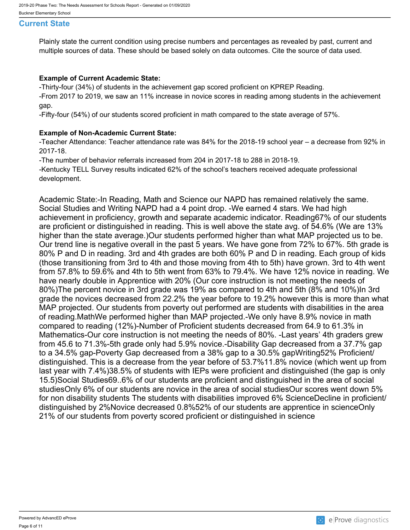#### <span id="page-5-0"></span>**Current State**

Plainly state the current condition using precise numbers and percentages as revealed by past, current and multiple sources of data. These should be based solely on data outcomes. Cite the source of data used.

#### **Example of Current Academic State:**

-Thirty-four (34%) of students in the achievement gap scored proficient on KPREP Reading.

-From 2017 to 2019, we saw an 11% increase in novice scores in reading among students in the achievement gap.

-Fifty-four (54%) of our students scored proficient in math compared to the state average of 57%.

#### **Example of Non-Academic Current State:**

-Teacher Attendance: Teacher attendance rate was 84% for the 2018-19 school year – a decrease from 92% in 2017-18.

-The number of behavior referrals increased from 204 in 2017-18 to 288 in 2018-19.

-Kentucky TELL Survey results indicated 62% of the school's teachers received adequate professional development.

Academic State:-In Reading, Math and Science our NAPD has remained relatively the same. Social Studies and Writing NAPD had a 4 point drop. -We earned 4 stars. We had high achievement in proficiency, growth and separate academic indicator. Reading67% of our students are proficient or distinguished in reading. This is well above the state avg. of 54.6% (We are 13% higher than the state average.)Our students performed higher than what MAP projected us to be. Our trend line is negative overall in the past 5 years. We have gone from 72% to 67%. 5th grade is 80% P and D in reading. 3rd and 4th grades are both 60% P and D in reading. Each group of kids (those transitioning from 3rd to 4th and those moving from 4th to 5th) have grown. 3rd to 4th went from 57.8% to 59.6% and 4th to 5th went from 63% to 79.4%. We have 12% novice in reading. We have nearly double in Apprentice with 20% (Our core instruction is not meeting the needs of 80%)The percent novice in 3rd grade was 19% as compared to 4th and 5th (8% and 10%)In 3rd grade the novices decreased from 22.2% the year before to 19.2% however this is more than what MAP projected. Our students from poverty out performed are students with disabilities in the area of reading.MathWe performed higher than MAP projected.-We only have 8.9% novice in math compared to reading (12%)-Number of Proficient students decreased from 64.9 to 61.3% in Mathematics-Our core instruction is not meeting the needs of 80%. -Last years' 4th graders grew from 45.6 to 71.3%-5th grade only had 5.9% novice.-Disability Gap decreased from a 37.7% gap to a 34.5% gap-Poverty Gap decreased from a 38% gap to a 30.5% gapWriting52% Proficient/ distinguished. This is a decrease from the year before of 53.7%11.8% novice (which went up from last year with 7.4%)38.5% of students with IEPs were proficient and distinguished (the gap is only 15.5)Social Studies69..6% of our students are proficient and distinguished in the area of social studiesOnly 6% of our students are novice in the area of social studiesOur scores went down 5% for non disability students The students with disabilities improved 6% ScienceDecline in proficient/ distinguished by 2%Novice decreased 0.8%52% of our students are apprentice in scienceOnly 21% of our students from poverty scored proficient or distinguished in science

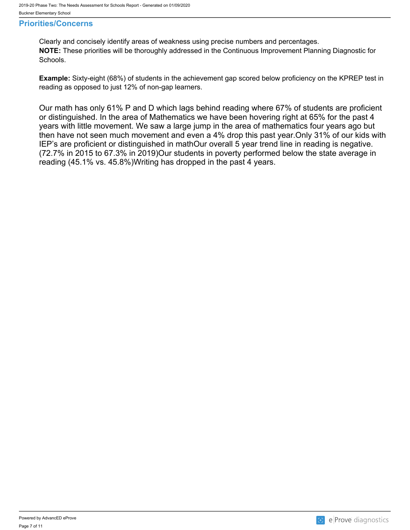#### <span id="page-6-0"></span>**Priorities/Concerns**

Clearly and concisely identify areas of weakness using precise numbers and percentages. **NOTE:** These priorities will be thoroughly addressed in the Continuous Improvement Planning Diagnostic for Schools.

**Example:** Sixty-eight (68%) of students in the achievement gap scored below proficiency on the KPREP test in reading as opposed to just 12% of non-gap learners.

Our math has only 61% P and D which lags behind reading where 67% of students are proficient or distinguished. In the area of Mathematics we have been hovering right at 65% for the past 4 years with little movement. We saw a large jump in the area of mathematics four years ago but then have not seen much movement and even a 4% drop this past year.Only 31% of our kids with IEP's are proficient or distinguished in mathOur overall 5 year trend line in reading is negative. (72.7% in 2015 to 67.3% in 2019)Our students in poverty performed below the state average in reading (45.1% vs. 45.8%)Writing has dropped in the past 4 years.

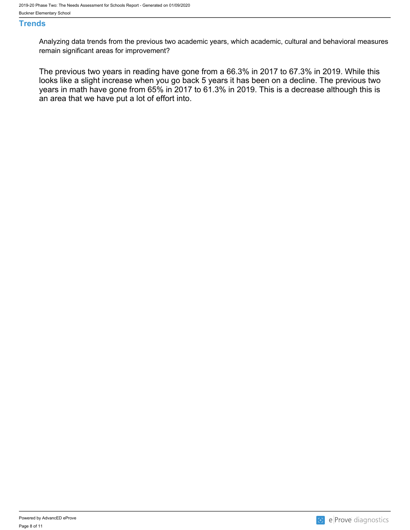#### <span id="page-7-0"></span>**Trends**

Analyzing data trends from the previous two academic years, which academic, cultural and behavioral measures remain significant areas for improvement?

The previous two years in reading have gone from a 66.3% in 2017 to 67.3% in 2019. While this looks like a slight increase when you go back 5 years it has been on a decline. The previous two years in math have gone from 65% in 2017 to 61.3% in 2019. This is a decrease although this is an area that we have put a lot of effort into.

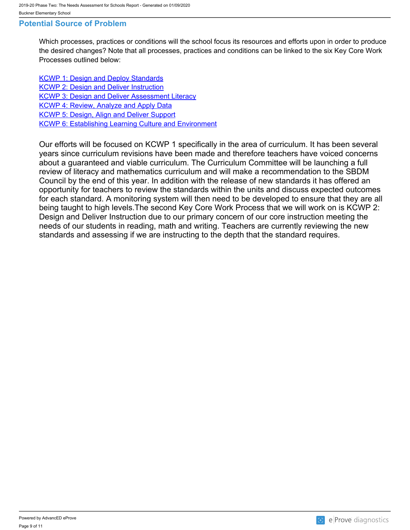#### <span id="page-8-0"></span>**Potential Source of Problem**

Which processes, practices or conditions will the school focus its resources and efforts upon in order to produce the desired changes? Note that all processes, practices and conditions can be linked to the six Key Core Work Processes outlined below:

**[KCWP 1: Design and Deploy Standards](https://education.ky.gov/school/csip/Documents/KCWP 1 Strategic Design and Deploy Standards.pdf)** [KCWP 2: Design and Deliver Instruction](https://education.ky.gov/school/csip/Documents/KCWP%202%20Strategic%20Design%20and%20Deliver%20Instruction.pdf) **[KCWP 3: Design and Deliver Assessment Literacy](https://education.ky.gov/school/csip/Documents/KCWP%203%20Strategic%20Design%20and%20Deliver%20Assessment%20Literacy.pdf)** [KCWP 4: Review, Analyze and Apply Data](https://education.ky.gov/school/csip/Documents/KCWP 4 Strategic Review Analyze and Apply Data.pdf) [KCWP 5: Design, Align and Deliver Support](https://education.ky.gov/school/csip/Documents/KCWP 5 Strategic Design Align Deliver Support Processes.pdf) [KCWP 6: Establishing Learning Culture and Environment](https://education.ky.gov/school/csip/Documents/KCWP 6 Strategic Establish Learning Culture and Environment.pdf)

Our efforts will be focused on KCWP 1 specifically in the area of curriculum. It has been several years since curriculum revisions have been made and therefore teachers have voiced concerns about a guaranteed and viable curriculum. The Curriculum Committee will be launching a full review of literacy and mathematics curriculum and will make a recommendation to the SBDM Council by the end of this year. In addition with the release of new standards it has offered an opportunity for teachers to review the standards within the units and discuss expected outcomes for each standard. A monitoring system will then need to be developed to ensure that they are all being taught to high levels.The second Key Core Work Process that we will work on is KCWP 2: Design and Deliver Instruction due to our primary concern of our core instruction meeting the needs of our students in reading, math and writing. Teachers are currently reviewing the new standards and assessing if we are instructing to the depth that the standard requires.

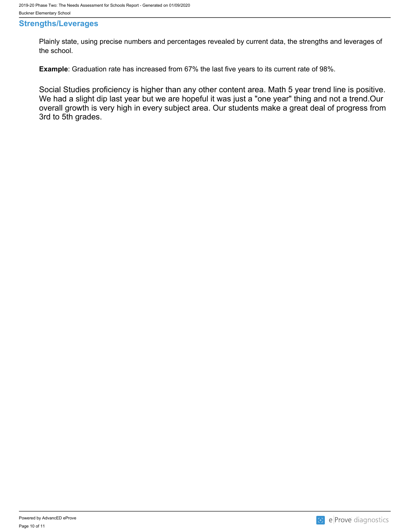#### <span id="page-9-0"></span>**Strengths/Leverages**

Plainly state, using precise numbers and percentages revealed by current data, the strengths and leverages of the school.

**Example**: Graduation rate has increased from 67% the last five years to its current rate of 98%.

Social Studies proficiency is higher than any other content area. Math 5 year trend line is positive. We had a slight dip last year but we are hopeful it was just a "one year" thing and not a trend.Our overall growth is very high in every subject area. Our students make a great deal of progress from 3rd to 5th grades.